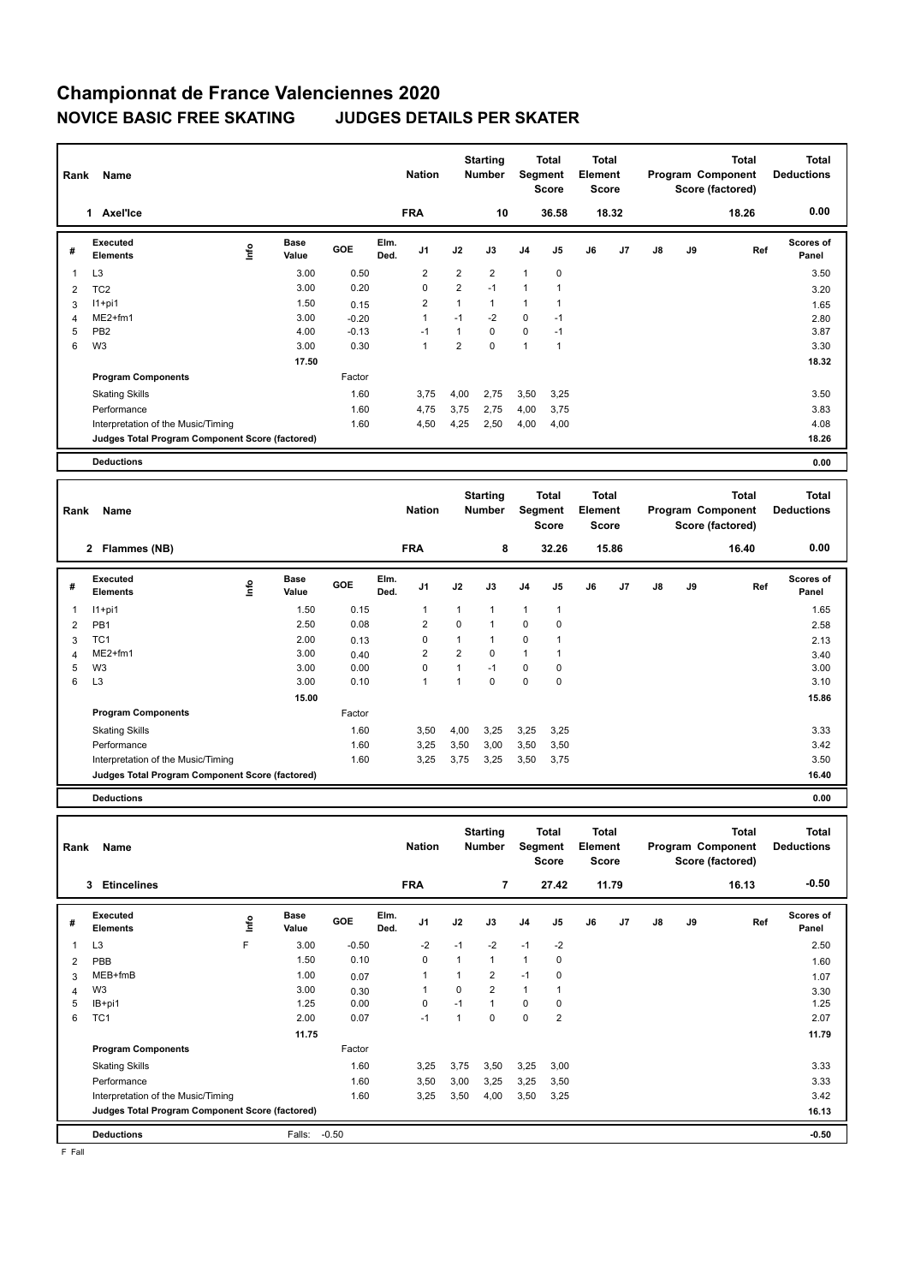| Rank           | Name                                            |      |                      | <b>Nation</b> |              | <b>Starting</b><br><b>Number</b> |                | <b>Total</b><br>Segment<br><b>Score</b> | <b>Total</b><br>Element<br><b>Score</b> |                |    |       | <b>Total</b><br>Program Component<br>Score (factored) | <b>Total</b><br><b>Deductions</b> |       |                    |
|----------------|-------------------------------------------------|------|----------------------|---------------|--------------|----------------------------------|----------------|-----------------------------------------|-----------------------------------------|----------------|----|-------|-------------------------------------------------------|-----------------------------------|-------|--------------------|
|                | Axel'Ice<br>1                                   |      |                      |               |              | <b>FRA</b>                       |                | 10                                      |                                         | 36.58          |    | 18.32 |                                                       |                                   | 18.26 | 0.00               |
| #              | Executed<br><b>Elements</b>                     | lnfo | <b>Base</b><br>Value | <b>GOE</b>    | Elm.<br>Ded. | J <sub>1</sub>                   | J2             | J3                                      | J <sub>4</sub>                          | J <sub>5</sub> | J6 | J7    | $\mathsf{J}8$                                         | J9                                | Ref   | Scores of<br>Panel |
| $\mathbf{1}$   | L <sub>3</sub>                                  |      | 3.00                 | 0.50          |              | $\overline{2}$                   | $\overline{2}$ | $\overline{2}$                          | $\mathbf{1}$                            | $\pmb{0}$      |    |       |                                                       |                                   |       | 3.50               |
| $\overline{2}$ | TC <sub>2</sub>                                 |      | 3.00                 | 0.20          |              | $\mathbf 0$                      | $\overline{2}$ | $-1$                                    | $\overline{1}$                          | 1              |    |       |                                                       |                                   |       | 3.20               |
| 3              | $11+pi1$                                        |      | 1.50                 | 0.15          |              | $\overline{2}$                   | $\overline{1}$ | $\mathbf{1}$                            | 1                                       | 1              |    |       |                                                       |                                   |       | 1.65               |
| $\overline{4}$ | $ME2+fm1$                                       |      | 3.00                 | $-0.20$       |              | 1                                | $-1$           | $-2$                                    | $\mathbf 0$                             | $-1$           |    |       |                                                       |                                   |       | 2.80               |
| 5              | PB <sub>2</sub>                                 |      | 4.00                 | $-0.13$       |              | $-1$                             | $\overline{1}$ | $\mathbf 0$                             | $\mathbf 0$                             | $-1$           |    |       |                                                       |                                   |       | 3.87               |
| 6              | W <sub>3</sub>                                  |      | 3.00                 | 0.30          |              | 1                                | $\overline{2}$ | $\mathbf 0$                             | $\overline{1}$                          | 1              |    |       |                                                       |                                   |       | 3.30               |
|                |                                                 |      | 17.50                |               |              |                                  |                |                                         |                                         |                |    |       |                                                       |                                   |       | 18.32              |
|                | <b>Program Components</b>                       |      |                      | Factor        |              |                                  |                |                                         |                                         |                |    |       |                                                       |                                   |       |                    |
|                | <b>Skating Skills</b>                           |      |                      | 1.60          |              | 3,75                             | 4,00           | 2,75                                    | 3,50                                    | 3,25           |    |       |                                                       |                                   |       | 3.50               |
|                | Performance                                     |      |                      | 1.60          |              | 4,75                             | 3,75           | 2,75                                    | 4,00                                    | 3,75           |    |       |                                                       |                                   |       | 3.83               |
|                | Interpretation of the Music/Timing              |      |                      | 1.60          |              | 4,50                             | 4,25           | 2,50                                    | 4,00                                    | 4,00           |    |       |                                                       |                                   |       | 4.08               |
|                | Judges Total Program Component Score (factored) |      |                      |               |              |                                  |                |                                         |                                         |                |    |       |                                                       |                                   |       | 18.26              |
|                | <b>Deductions</b>                               |      |                      |               |              |                                  |                |                                         |                                         |                |    |       |                                                       |                                   |       | 0.00               |

| Rank           | Name                                            |      |                      | <b>Nation</b> |              | <b>Starting</b><br><b>Number</b> |                | <b>Total</b><br>Segment<br><b>Score</b> | <b>Total</b><br>Element<br><b>Score</b> |                |    |       | <b>Total</b><br>Program Component<br>Score (factored) | <b>Total</b><br><b>Deductions</b> |       |                    |
|----------------|-------------------------------------------------|------|----------------------|---------------|--------------|----------------------------------|----------------|-----------------------------------------|-----------------------------------------|----------------|----|-------|-------------------------------------------------------|-----------------------------------|-------|--------------------|
|                | 2 Flammes (NB)                                  |      |                      |               |              | <b>FRA</b>                       |                | 8                                       |                                         | 32.26          |    | 15.86 |                                                       |                                   | 16.40 | 0.00               |
| #              | <b>Executed</b><br><b>Elements</b>              | lnfo | <b>Base</b><br>Value | <b>GOE</b>    | Elm.<br>Ded. | J <sub>1</sub>                   | J2             | J3                                      | J <sub>4</sub>                          | J <sub>5</sub> | J6 | J7    | $\mathsf{J}8$                                         | J9                                | Ref   | Scores of<br>Panel |
| 1              | $11+pi1$                                        |      | 1.50                 | 0.15          |              | $\mathbf{1}$                     | 1              | 1                                       | $\overline{1}$                          | $\overline{1}$ |    |       |                                                       |                                   |       | 1.65               |
| $\overline{2}$ | PB <sub>1</sub>                                 |      | 2.50                 | 0.08          |              | 2                                | 0              | 1                                       | $\mathbf 0$                             | 0              |    |       |                                                       |                                   |       | 2.58               |
| 3              | TC <sub>1</sub>                                 |      | 2.00                 | 0.13          |              | 0                                | $\mathbf{1}$   | 1                                       | $\mathbf 0$                             | 1              |    |       |                                                       |                                   |       | 2.13               |
| 4              | $ME2+fm1$                                       |      | 3.00                 | 0.40          |              | $\overline{2}$                   | $\overline{2}$ | 0                                       | $\overline{1}$                          | 1              |    |       |                                                       |                                   |       | 3.40               |
| 5              | W <sub>3</sub>                                  |      | 3.00                 | 0.00          |              | 0                                | 1              | $-1$                                    | $\mathbf 0$                             | 0              |    |       |                                                       |                                   |       | 3.00               |
| 6              | L <sub>3</sub>                                  |      | 3.00                 | 0.10          |              | 1                                | 1              | 0                                       | $\mathbf 0$                             | 0              |    |       |                                                       |                                   |       | 3.10               |
|                |                                                 |      | 15.00                |               |              |                                  |                |                                         |                                         |                |    |       |                                                       |                                   |       | 15.86              |
|                | <b>Program Components</b>                       |      |                      | Factor        |              |                                  |                |                                         |                                         |                |    |       |                                                       |                                   |       |                    |
|                | <b>Skating Skills</b>                           |      |                      | 1.60          |              | 3,50                             | 4,00           | 3,25                                    | 3,25                                    | 3,25           |    |       |                                                       |                                   |       | 3.33               |
|                | Performance                                     |      |                      | 1.60          |              | 3,25                             | 3,50           | 3,00                                    | 3,50                                    | 3,50           |    |       |                                                       |                                   |       | 3.42               |
|                | Interpretation of the Music/Timing              |      |                      | 1.60          |              | 3,25                             | 3,75           | 3,25                                    | 3,50                                    | 3,75           |    |       |                                                       |                                   |       | 3.50               |
|                | Judges Total Program Component Score (factored) |      |                      |               |              |                                  |                |                                         |                                         |                |    |       |                                                       |                                   |       | 16.40              |
|                | <b>Deductions</b>                               |      |                      |               |              |                                  |                |                                         |                                         |                |    |       |                                                       |                                   |       | 0.00               |

**Total Deductions Total Program Component Score (factored) Total Element Score Total Segment Score Starting Rank Name Nation Number # Executed Elements Base Value GOE J1 J2 J3 J4 J5 J6 J7 J8 J9 Scores of Panel** 1 3.00 -0.50 -2 -1 -2 -1 -2 **Ref**  2.50 **Elm. Ded.**  Lateculeur<br> **Elements**<br>
L3 F  **3 Etincelines FRA 7 27.42 11.79 16.13 -0.50** 2 PBB 1.60 1.50 0.10 0 1 1 1 0 1.60 3 MEB+fmB 1.00 0.07 1 1 2 -1 0 1.07 4 W3 3.30 3.00 0.30 1 0 2 1 1 3.30 3.30 5 IB+pi1 1.25 0.00 0 -1 1 0 0 1.25 6 TC1 2.00 0.07 -1 1 0 0 2 2.07 **11.75 11.79 Program Components**  Skating Skills 3,25 3,75 3,50 3,25 3,00 1.60 3.33 Factor Performance 1.60 3,50 3,00 3,25 3,25 3,50 3.33 Interpretation of the Music/Timing 1.60 3,25 3,50 4,00 3,50 3,25 **Deductions** Falls: -0.50 **-0.50 Judges Total Program Component Score (factored) 16.13**

F Fall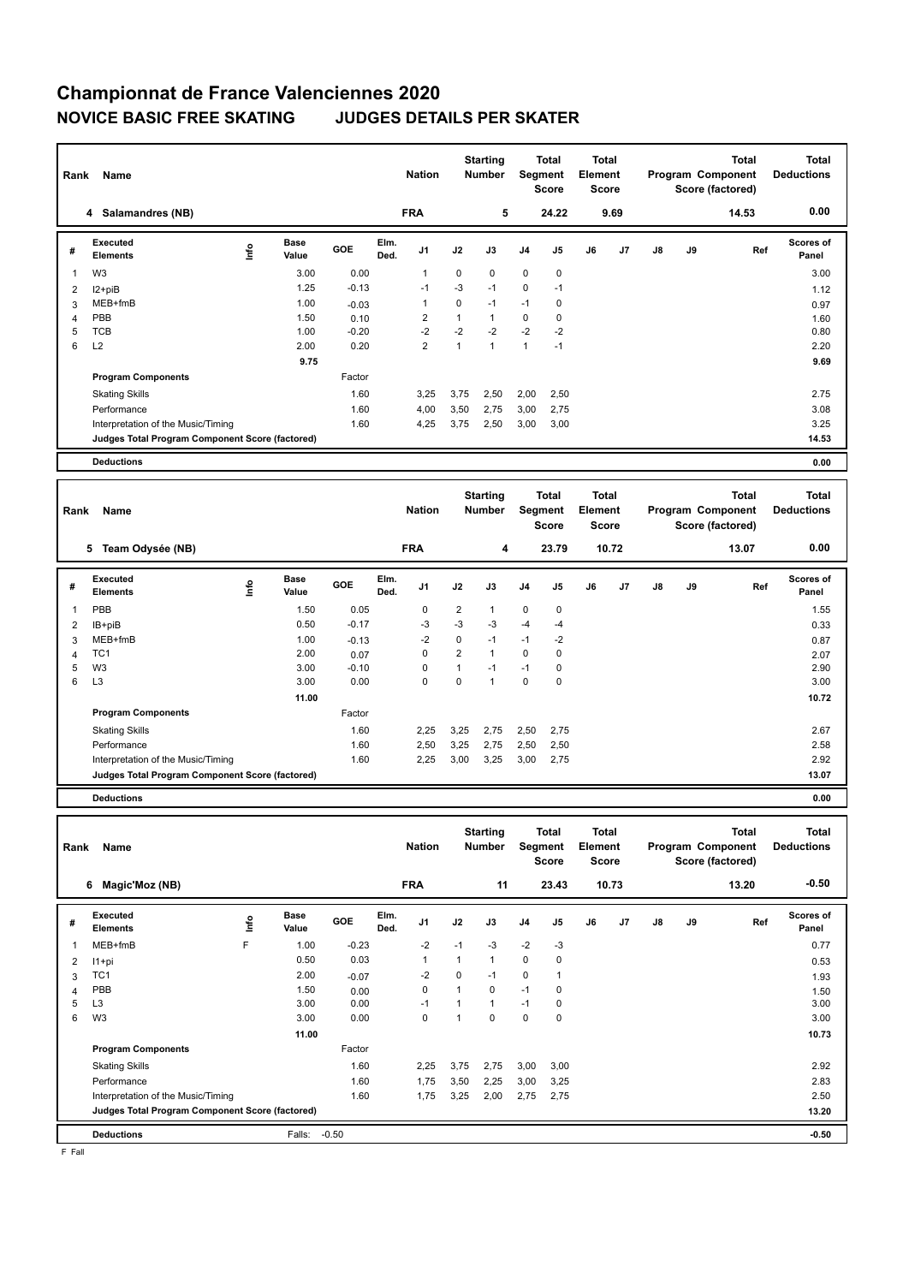| Rank | Name                                            |      |                      | <b>Nation</b> |              | <b>Starting</b><br><b>Number</b> | Segment        | <b>Total</b><br><b>Score</b> | <b>Total</b><br>Element<br><b>Score</b> |                |    |      | Total<br>Program Component<br>Score (factored) | <b>Total</b><br><b>Deductions</b> |       |                    |
|------|-------------------------------------------------|------|----------------------|---------------|--------------|----------------------------------|----------------|------------------------------|-----------------------------------------|----------------|----|------|------------------------------------------------|-----------------------------------|-------|--------------------|
|      | 4 Salamandres (NB)                              |      |                      |               |              | <b>FRA</b>                       |                | 5                            |                                         | 24.22          |    | 9.69 |                                                |                                   | 14.53 | 0.00               |
| #    | Executed<br><b>Elements</b>                     | ١nf٥ | <b>Base</b><br>Value | GOE           | Elm.<br>Ded. | J <sub>1</sub>                   | J2             | J3                           | J <sub>4</sub>                          | J <sub>5</sub> | J6 | J7   | $\mathsf{J}8$                                  | J9                                | Ref   | Scores of<br>Panel |
| 1    | W <sub>3</sub>                                  |      | 3.00                 | 0.00          |              | $\mathbf{1}$                     | $\mathbf 0$    | $\mathbf 0$                  | $\mathbf 0$                             | $\mathbf 0$    |    |      |                                                |                                   |       | 3.00               |
| 2    | I2+piB                                          |      | 1.25                 | $-0.13$       |              | $-1$                             | $-3$           | $-1$                         | $\mathbf 0$                             | $-1$           |    |      |                                                |                                   |       | 1.12               |
| 3    | MEB+fmB                                         |      | 1.00                 | $-0.03$       |              | 1                                | 0              | $-1$                         | $-1$                                    | 0              |    |      |                                                |                                   |       | 0.97               |
| 4    | PBB                                             |      | 1.50                 | 0.10          |              | 2                                | $\mathbf{1}$   | 1                            | 0                                       | 0              |    |      |                                                |                                   |       | 1.60               |
| 5    | <b>TCB</b>                                      |      | 1.00                 | $-0.20$       |              | $-2$                             | $-2$           | $-2$                         | $-2$                                    | $-2$           |    |      |                                                |                                   |       | 0.80               |
| 6    | L2                                              |      | 2.00                 | 0.20          |              | $\overline{2}$                   | $\overline{1}$ | $\mathbf{1}$                 | 1                                       | $-1$           |    |      |                                                |                                   |       | 2.20               |
|      |                                                 |      | 9.75                 |               |              |                                  |                |                              |                                         |                |    |      |                                                |                                   |       | 9.69               |
|      | <b>Program Components</b>                       |      |                      | Factor        |              |                                  |                |                              |                                         |                |    |      |                                                |                                   |       |                    |
|      | <b>Skating Skills</b>                           |      |                      | 1.60          |              | 3,25                             | 3,75           | 2,50                         | 2,00                                    | 2,50           |    |      |                                                |                                   |       | 2.75               |
|      | Performance                                     |      |                      | 1.60          |              | 4,00                             | 3,50           | 2,75                         | 3,00                                    | 2,75           |    |      |                                                |                                   |       | 3.08               |
|      | Interpretation of the Music/Timing              |      |                      | 1.60          |              | 4,25                             | 3,75           | 2,50                         | 3,00                                    | 3,00           |    |      |                                                |                                   |       | 3.25               |
|      | Judges Total Program Component Score (factored) |      |                      |               |              |                                  |                |                              |                                         |                |    |      |                                                |                                   |       | 14.53              |
|      | <b>Deductions</b>                               |      |                      |               |              |                                  |                |                              |                                         |                |    |      |                                                |                                   |       | 0.00               |

| Rank           | Name                                            |    |                      | <b>Nation</b> |              | <b>Starting</b><br><b>Number</b> |                | Total<br>Segment<br><b>Score</b> | <b>Total</b><br>Element<br><b>Score</b> |                |    |       | <b>Total</b><br>Program Component<br>Score (factored) | Total<br><b>Deductions</b> |       |                           |
|----------------|-------------------------------------------------|----|----------------------|---------------|--------------|----------------------------------|----------------|----------------------------------|-----------------------------------------|----------------|----|-------|-------------------------------------------------------|----------------------------|-------|---------------------------|
|                | Team Odysée (NB)<br>5                           |    |                      |               |              | <b>FRA</b>                       |                | 4                                |                                         | 23.79          |    | 10.72 |                                                       |                            | 13.07 | 0.00                      |
| #              | <b>Executed</b><br><b>Elements</b>              | ۴ů | <b>Base</b><br>Value | <b>GOE</b>    | Elm.<br>Ded. | J1                               | J2             | J3                               | J <sub>4</sub>                          | J <sub>5</sub> | J6 | J7    | J8                                                    | J9                         | Ref   | <b>Scores of</b><br>Panel |
| 1              | PBB                                             |    | 1.50                 | 0.05          |              | 0                                | $\overline{2}$ | 1                                | $\mathbf 0$                             | $\mathbf 0$    |    |       |                                                       |                            |       | 1.55                      |
| $\overline{2}$ | IB+piB                                          |    | 0.50                 | $-0.17$       |              | $-3$                             | $-3$           | $-3$                             | $-4$                                    | $-4$           |    |       |                                                       |                            |       | 0.33                      |
| 3              | MEB+fmB                                         |    | 1.00                 | $-0.13$       |              | -2                               | $\mathbf 0$    | $-1$                             | $-1$                                    | -2             |    |       |                                                       |                            |       | 0.87                      |
| 4              | TC1                                             |    | 2.00                 | 0.07          |              | 0                                | $\overline{2}$ | 1                                | $\mathbf 0$                             | 0              |    |       |                                                       |                            |       | 2.07                      |
| 5              | W <sub>3</sub>                                  |    | 3.00                 | $-0.10$       |              | $\Omega$                         | 1              | $-1$                             | $-1$                                    | 0              |    |       |                                                       |                            |       | 2.90                      |
| 6              | L <sub>3</sub>                                  |    | 3.00                 | 0.00          |              | 0                                | $\mathbf 0$    | 1                                | $\mathbf 0$                             | $\mathbf 0$    |    |       |                                                       |                            |       | 3.00                      |
|                |                                                 |    | 11.00                |               |              |                                  |                |                                  |                                         |                |    |       |                                                       |                            |       | 10.72                     |
|                | <b>Program Components</b>                       |    |                      | Factor        |              |                                  |                |                                  |                                         |                |    |       |                                                       |                            |       |                           |
|                | <b>Skating Skills</b>                           |    |                      | 1.60          |              | 2,25                             | 3,25           | 2,75                             | 2,50                                    | 2,75           |    |       |                                                       |                            |       | 2.67                      |
|                | Performance                                     |    |                      | 1.60          |              | 2,50                             | 3,25           | 2,75                             | 2,50                                    | 2,50           |    |       |                                                       |                            |       | 2.58                      |
|                | Interpretation of the Music/Timing              |    |                      | 1.60          |              | 2,25                             | 3,00           | 3,25                             | 3,00                                    | 2,75           |    |       |                                                       |                            |       | 2.92                      |
|                | Judges Total Program Component Score (factored) |    |                      |               |              |                                  |                |                                  |                                         |                |    |       |                                                       |                            |       | 13.07                     |
|                | <b>Deductions</b>                               |    |                      |               |              |                                  |                |                                  |                                         |                |    |       |                                                       |                            |       | 0.00                      |

**Total Deductions Total Program Component Score (factored) Total Element Score Total Segment Score Starting Rank Name Nation Number # Executed Elements**  MEB+fmB <sup>F</sup> **Info Base Value GOE J1 J2 J3 J4 J5 J6 J7 J8 J9 Scores of Panel** 1 MEB+fmB F 1.00 -0.23 -2 -1 -3 -2 -3 **Ref**  0.77 **Elm. Ded. 6 Magic'Moz (NB) FRA 11 23.43 10.73 13.20 -0.50** 2 I1+pi 0.50 0.03 1 1 1 0 0 0.53 3 TC1 2.00 -0.07 -2 0 -1 0 1 1.93 4 PBB 1.50 0.00 0 1 0 -1 0 1.50 1.50 5 L3 3.00 0.00 -1 1 1 -1 0 3.00 6 W3 3.00 0.00 0 1 0 0 0 3.00 **11.00 10.73 Program Components**  Skating Skills 2,25 3,75 2,75 3,00 3,00 1.60 2.92 Factor Performance 2.83 2.83 2.83 1.60 1,75 3,50 2,25 3,00 3,25 Interpretation of the Music/Timing 1.60 1,75 3,25 2,00 2,75 2,75 **Deductions** Falls: -0.50 **-0.50 Judges Total Program Component Score (factored) 13.20**

F Fall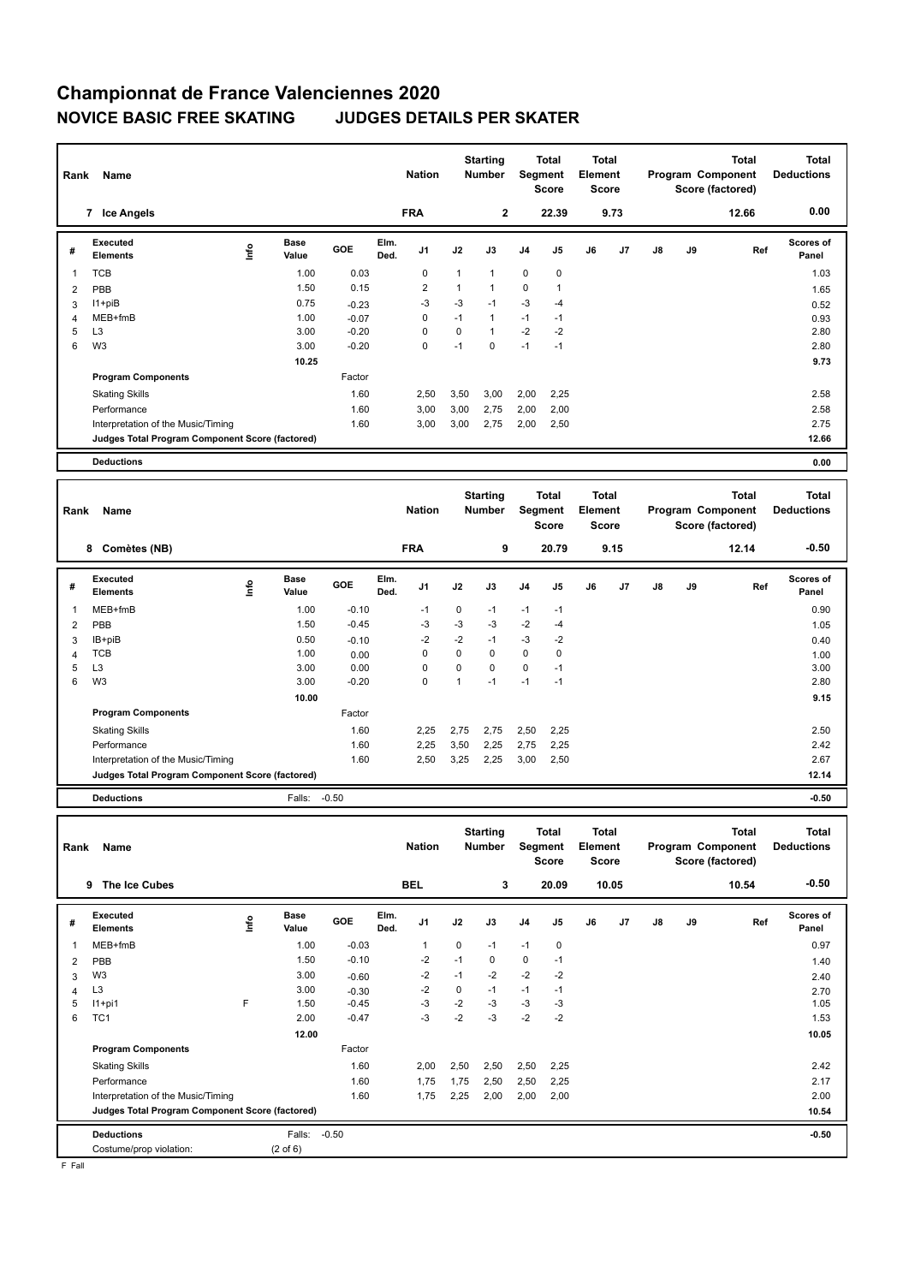| Rank | Name                                            |      | <b>Nation</b>        |         | <b>Starting</b><br><b>Number</b> | <b>Segment</b> | Total<br><b>Score</b> | <b>Total</b><br>Element<br><b>Score</b> |                |                |    | <b>Total</b><br>Program Component<br>Score (factored) | <b>Total</b><br><b>Deductions</b> |    |       |                    |
|------|-------------------------------------------------|------|----------------------|---------|----------------------------------|----------------|-----------------------|-----------------------------------------|----------------|----------------|----|-------------------------------------------------------|-----------------------------------|----|-------|--------------------|
|      | 7 Ice Angels                                    |      |                      |         |                                  | <b>FRA</b>     |                       | $\mathbf{2}$                            |                | 22.39          |    | 9.73                                                  |                                   |    | 12.66 | 0.00               |
| #    | Executed<br><b>Elements</b>                     | lnfo | <b>Base</b><br>Value | GOE     | Elm.<br>Ded.                     | J1             | J2                    | J3                                      | J <sub>4</sub> | J5             | J6 | J7                                                    | J8                                | J9 | Ref   | Scores of<br>Panel |
| 1    | <b>TCB</b>                                      |      | 1.00                 | 0.03    |                                  | $\mathbf 0$    | $\mathbf 1$           | $\mathbf{1}$                            | $\mathbf 0$    | $\mathbf 0$    |    |                                                       |                                   |    |       | 1.03               |
| 2    | PBB                                             |      | 1.50                 | 0.15    |                                  | $\overline{2}$ | $\mathbf{1}$          | $\mathbf{1}$                            | $\mathbf 0$    | $\overline{1}$ |    |                                                       |                                   |    |       | 1.65               |
| 3    | $11 + piB$                                      |      | 0.75                 | $-0.23$ |                                  | -3             | $-3$                  | $-1$                                    | $-3$           | $-4$           |    |                                                       |                                   |    |       | 0.52               |
| 4    | MEB+fmB                                         |      | 1.00                 | $-0.07$ |                                  | 0              | $-1$                  | $\mathbf{1}$                            | $-1$           | $-1$           |    |                                                       |                                   |    |       | 0.93               |
| 5    | L <sub>3</sub>                                  |      | 3.00                 | $-0.20$ |                                  | $\Omega$       | $\Omega$              | 1                                       | $-2$           | $-2$           |    |                                                       |                                   |    |       | 2.80               |
| 6    | W <sub>3</sub>                                  |      | 3.00                 | $-0.20$ |                                  | 0              | $-1$                  | $\Omega$                                | $-1$           | $-1$           |    |                                                       |                                   |    |       | 2.80               |
|      |                                                 |      | 10.25                |         |                                  |                |                       |                                         |                |                |    |                                                       |                                   |    |       | 9.73               |
|      | <b>Program Components</b>                       |      |                      | Factor  |                                  |                |                       |                                         |                |                |    |                                                       |                                   |    |       |                    |
|      | <b>Skating Skills</b>                           |      |                      | 1.60    |                                  | 2,50           | 3,50                  | 3,00                                    | 2,00           | 2,25           |    |                                                       |                                   |    |       | 2.58               |
|      | Performance                                     |      |                      | 1.60    |                                  | 3,00           | 3,00                  | 2,75                                    | 2,00           | 2,00           |    |                                                       |                                   |    |       | 2.58               |
|      | Interpretation of the Music/Timing              |      |                      | 1.60    |                                  | 3,00           | 3,00                  | 2,75                                    | 2,00           | 2,50           |    |                                                       |                                   |    |       | 2.75               |
|      | Judges Total Program Component Score (factored) |      |                      |         |                                  |                |                       |                                         |                |                |    |                                                       |                                   |    |       | 12.66              |
|      | <b>Deductions</b>                               |      |                      |         |                                  |                |                       |                                         |                |                |    |                                                       |                                   |    |       | 0.00               |
|      |                                                 |      |                      |         |                                  |                |                       |                                         |                |                |    |                                                       |                                   |    |       |                    |

| Rank | Name                                            |      |                      |            | <b>Nation</b> |                | <b>Starting</b><br><b>Number</b> |          | <b>Total</b><br>Segment<br>Score | <b>Total</b><br>Element<br><b>Score</b> |    |      |    | <b>Total</b><br>Program Component<br>Score (factored) | Total<br><b>Deductions</b> |                           |
|------|-------------------------------------------------|------|----------------------|------------|---------------|----------------|----------------------------------|----------|----------------------------------|-----------------------------------------|----|------|----|-------------------------------------------------------|----------------------------|---------------------------|
|      | Comètes (NB)<br>8                               |      |                      |            |               | <b>FRA</b>     |                                  | 9        |                                  | 20.79                                   |    | 9.15 |    |                                                       | 12.14                      | $-0.50$                   |
| #    | Executed<br><b>Elements</b>                     | ١nf٥ | <b>Base</b><br>Value | <b>GOE</b> | Elm.<br>Ded.  | J <sub>1</sub> | J2                               | J3       | J <sub>4</sub>                   | J5                                      | J6 | J7   | J8 | J9                                                    | Ref                        | <b>Scores of</b><br>Panel |
|      | $MEB+fmB$                                       |      | 1.00                 | $-0.10$    |               | $-1$           | $\mathbf 0$                      | $-1$     | $-1$                             | $-1$                                    |    |      |    |                                                       |                            | 0.90                      |
| 2    | PBB                                             |      | 1.50                 | $-0.45$    |               | -3             | $-3$                             | $-3$     | $-2$                             | $-4$                                    |    |      |    |                                                       |                            | 1.05                      |
| 3    | IB+piB                                          |      | 0.50                 | $-0.10$    |               | $-2$           | $-2$                             | $-1$     | $-3$                             | $-2$                                    |    |      |    |                                                       |                            | 0.40                      |
| 4    | <b>TCB</b>                                      |      | 1.00                 | 0.00       |               | 0              | $\mathbf 0$                      | 0        | $\pmb{0}$                        | 0                                       |    |      |    |                                                       |                            | 1.00                      |
| 5    | L <sub>3</sub>                                  |      | 3.00                 | 0.00       |               | 0              | $\mathbf 0$                      | $\Omega$ | $\mathbf 0$                      | $-1$                                    |    |      |    |                                                       |                            | 3.00                      |
| 6    | W <sub>3</sub>                                  |      | 3.00                 | $-0.20$    |               | 0              | $\mathbf{1}$                     | $-1$     | $-1$                             | $-1$                                    |    |      |    |                                                       |                            | 2.80                      |
|      |                                                 |      | 10.00                |            |               |                |                                  |          |                                  |                                         |    |      |    |                                                       |                            | 9.15                      |
|      | <b>Program Components</b>                       |      |                      | Factor     |               |                |                                  |          |                                  |                                         |    |      |    |                                                       |                            |                           |
|      | <b>Skating Skills</b>                           |      |                      | 1.60       |               | 2,25           | 2,75                             | 2,75     | 2,50                             | 2,25                                    |    |      |    |                                                       |                            | 2.50                      |
|      | Performance                                     |      |                      | 1.60       |               | 2,25           | 3,50                             | 2,25     | 2,75                             | 2,25                                    |    |      |    |                                                       |                            | 2.42                      |
|      | Interpretation of the Music/Timing              |      |                      | 1.60       |               | 2,50           | 3,25                             | 2,25     | 3,00                             | 2,50                                    |    |      |    |                                                       |                            | 2.67                      |
|      | Judges Total Program Component Score (factored) |      |                      |            |               |                |                                  |          |                                  |                                         |    |      |    |                                                       |                            | 12.14                     |
|      | <b>Deductions</b>                               |      | Falls:               | $-0.50$    |               |                |                                  |          |                                  |                                         |    |      |    |                                                       |                            | $-0.50$                   |

| Rank                     | Name                                            |      |                      | <b>Nation</b> |              | <b>Starting</b><br><b>Number</b> |             | <b>Total</b><br>Segment<br>Score | <b>Total</b><br>Element<br>Score |                |    |                | <b>Total</b><br>Program Component<br>Score (factored) | <b>Total</b><br><b>Deductions</b> |       |                           |
|--------------------------|-------------------------------------------------|------|----------------------|---------------|--------------|----------------------------------|-------------|----------------------------------|----------------------------------|----------------|----|----------------|-------------------------------------------------------|-----------------------------------|-------|---------------------------|
|                          | The Ice Cubes<br>9                              |      |                      |               |              | <b>BEL</b>                       |             | 3                                |                                  | 20.09          |    | 10.05          |                                                       |                                   | 10.54 | $-0.50$                   |
| #                        | Executed<br>Elements                            | lnfo | <b>Base</b><br>Value | <b>GOE</b>    | Elm.<br>Ded. | J <sub>1</sub>                   | J2          | J3                               | J <sub>4</sub>                   | J <sub>5</sub> | J6 | J <sub>7</sub> | $\mathsf{J}8$                                         | J9                                | Ref   | <b>Scores of</b><br>Panel |
| $\overline{\phantom{a}}$ | MEB+fmB                                         |      | 1.00                 | $-0.03$       |              | 1                                | $\mathbf 0$ | $-1$                             | $-1$                             | 0              |    |                |                                                       |                                   |       | 0.97                      |
| $\overline{2}$           | PBB                                             |      | 1.50                 | $-0.10$       |              | $-2$                             | $-1$        | 0                                | $\mathbf 0$                      | $-1$           |    |                |                                                       |                                   |       | 1.40                      |
| 3                        | W <sub>3</sub>                                  |      | 3.00                 | $-0.60$       |              | $-2$                             | $-1$        | $-2$                             | $-2$                             | $-2$           |    |                |                                                       |                                   |       | 2.40                      |
| 4                        | L <sub>3</sub>                                  |      | 3.00                 | $-0.30$       |              | -2                               | 0           | $-1$                             | $-1$                             | $-1$           |    |                |                                                       |                                   |       | 2.70                      |
| 5                        | $11+pi1$                                        | F    | 1.50                 | $-0.45$       |              | $-3$                             | $-2$        | $-3$                             | $-3$                             | $-3$           |    |                |                                                       |                                   |       | 1.05                      |
| 6                        | TC <sub>1</sub>                                 |      | 2.00                 | $-0.47$       |              | $-3$                             | $-2$        | $-3$                             | $-2$                             | $-2$           |    |                |                                                       |                                   |       | 1.53                      |
|                          |                                                 |      | 12.00                |               |              |                                  |             |                                  |                                  |                |    |                |                                                       |                                   |       | 10.05                     |
|                          | <b>Program Components</b>                       |      |                      | Factor        |              |                                  |             |                                  |                                  |                |    |                |                                                       |                                   |       |                           |
|                          | <b>Skating Skills</b>                           |      |                      | 1.60          |              | 2,00                             | 2,50        | 2,50                             | 2,50                             | 2,25           |    |                |                                                       |                                   |       | 2.42                      |
|                          | Performance                                     |      |                      | 1.60          |              | 1,75                             | 1,75        | 2,50                             | 2,50                             | 2,25           |    |                |                                                       |                                   |       | 2.17                      |
|                          | Interpretation of the Music/Timing              |      |                      | 1.60          |              | 1,75                             | 2,25        | 2,00                             | 2,00                             | 2,00           |    |                |                                                       |                                   |       | 2.00                      |
|                          | Judges Total Program Component Score (factored) |      |                      |               |              |                                  |             |                                  |                                  |                |    |                |                                                       |                                   |       | 10.54                     |
|                          | <b>Deductions</b>                               |      | Falls:               | $-0.50$       |              |                                  |             |                                  |                                  |                |    |                |                                                       |                                   |       | $-0.50$                   |
|                          | Costume/prop violation:                         |      | $(2 \text{ of } 6)$  |               |              |                                  |             |                                  |                                  |                |    |                |                                                       |                                   |       |                           |

F Fall